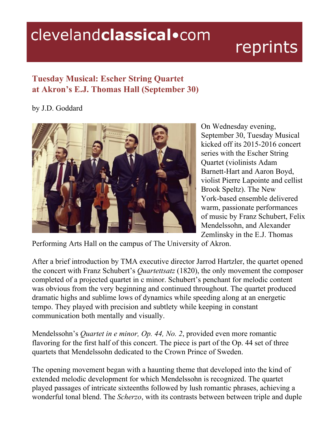## clevelandclassical.com

## reprints

## **Tuesday Musical: Escher String Quartet at Akron's E.J. Thomas Hall (September 30)**

## by J.D. Goddard



On Wednesday evening, September 30, Tuesday Musical kicked off its 2015-2016 concert series with the Escher String Quartet (violinists Adam Barnett-Hart and Aaron Boyd, violist Pierre Lapointe and cellist Brook Speltz). The New York-based ensemble delivered warm, passionate performances of music by Franz Schubert, Felix Mendelssohn, and Alexander Zemlinsky in the E.J. Thomas

Performing Arts Hall on the campus of The University of Akron.

After a brief introduction by TMA executive director Jarrod Hartzler, the quartet opened the concert with Franz Schubert's *Quartettsatz* (1820), the only movement the composer completed of a projected quartet in c minor. Schubert's penchant for melodic content was obvious from the very beginning and continued throughout. The quartet produced dramatic highs and sublime lows of dynamics while speeding along at an energetic tempo. They played with precision and subtlety while keeping in constant communication both mentally and visually.

Mendelssohn's *Quartet in e minor, Op. 44, No. 2*, provided even more romantic flavoring for the first half of this concert. The piece is part of the Op. 44 set of three quartets that Mendelssohn dedicated to the Crown Prince of Sweden.

The opening movement began with a haunting theme that developed into the kind of extended melodic development for which Mendelssohn is recognized. The quartet played passages of intricate sixteenths followed by lush romantic phrases, achieving a wonderful tonal blend. The *Scherzo*, with its contrasts between between triple and duple